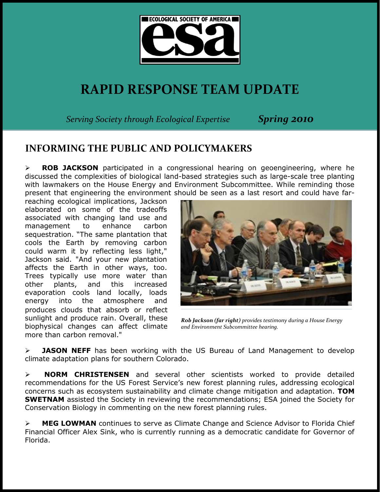

# **RAPID RESPONSE TEAM UPDATE**

*Serving Society through Ecological Expertise Spring 2010*

#### **INFORMING THE PUBLIC AND POLICYMAKERS**

 **ROB JACKSON** participated in a congressional hearing on geoengineering, where he discussed the complexities of biological land-based strategies such as large-scale tree planting with lawmakers on the House Energy and Environment Subcommittee. While reminding those present that engineering the environment should be seen as a last resort and could have far-

reaching ecological implications, Jackson elaborated on some of the tradeoffs associated with changing land use and management to enhance carbon sequestration. "The same plantation that cools the Earth by removing carbon could warm it by reflecting less light," Jackson said. "And your new plantation affects the Earth in other ways, too. Trees typically use more water than other plants, and this increased evaporation cools land locally, loads energy into the atmosphere and produces clouds that absorb or reflect sunlight and produce rain. Overall, these biophysical changes can affect climate more than carbon removal."



*Rob Jackson (far right) provides testimony during a House Energy and Environment Subcommittee hearing.*

 **JASON NEFF** has been working with the US Bureau of Land Management to develop climate adaptation plans for southern Colorado.

 **NORM CHRISTENSEN** and several other scientists worked to provide detailed recommendations for the US Forest Service's new forest planning rules, addressing ecological concerns such as ecosystem sustainability and climate change mitigation and adaptation. **TOM SWETNAM** assisted the Society in reviewing the recommendations; ESA joined the Society for Conservation Biology in commenting on the new forest planning rules.

 **MEG LOWMAN** continues to serve as Climate Change and Science Advisor to Florida Chief Financial Officer Alex Sink, who is currently running as a democratic candidate for Governor of Florida.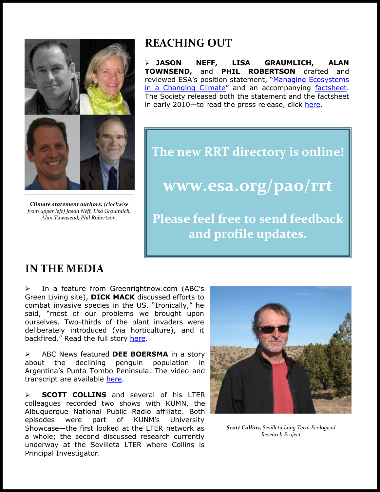

*Climate statement authors: (clockwise from upper left) Jason Neff, Lisa Graumlich, Alan Townsend, Phil Robertson.*

## **REACHING OUT**

 **JASON NEFF, LISA GRAUMLICH, ALAN TOWNSEND,** and **PHIL ROBERTSON** drafted and reviewed ESA's [position statement](http://www.esa.org/pao/policyStatements/pdfDocuments/Ecosystem%20Management%20in%20a%20Changing%20Climate.pdf), "Managing Ecosystems [in a Changing Climate](http://www.esa.org/pao/policyStatements/pdfDocuments/Ecosystem%20Management%20in%20a%20Changing%20Climate.pdf)" and an accompanying [factsheet.](http://www.esa.org/education_diversity/pdfDocs/esa_climatechange.pdf) The Society released both the statement and the factsheet in early 2010—to read the press release, click [here.](http://www.esa.org/pao/newsroom/press2010/01212010.php)

**The new RRT directory is online! www.esa.org/pao/rrt Please feel free to send feedback and profile updates.**

### **IN THE MEDIA**

 $\triangleright$  In a feature from Greenrightnow.com (ABC's Green Living site), **DICK MACK** discussed efforts to combat invasive species in the US. "Ironically," he said, "most of our problems we brought upon ourselves. Two-thirds of the plant invaders were deliberately introduced (via horticulture), and it backfired." Read the full story [here.](http://www.greenrightnow.com/wabc/2009/09/02/exotic-invasive-species-aggressively-disrupting-delicate-us-ecosystems/)

 ABC News featured **DEE BOERSMA** in a story about the declining penguin population in Argentina's Punta Tombo Peninsula. The video and transcript are available [here.](http://abcnews.go.com/Nightline/AmazingAnimals/penguins-punta-tombo-argentina-population-decline/story?id=9779082)

 **SCOTT COLLINS** and several of his LTER colleagues recorded two shows with KUMN, the Albuquerque National Public Radio affiliate. Both episodes were part of KUNM's University Showcase—the first looked at the LTER network as a whole; the second discussed research currently underway at the Sevilleta LTER where Collins is Principal Investigator.



*Scott Collins, Sevilleta Long Term Ecological Research Project*